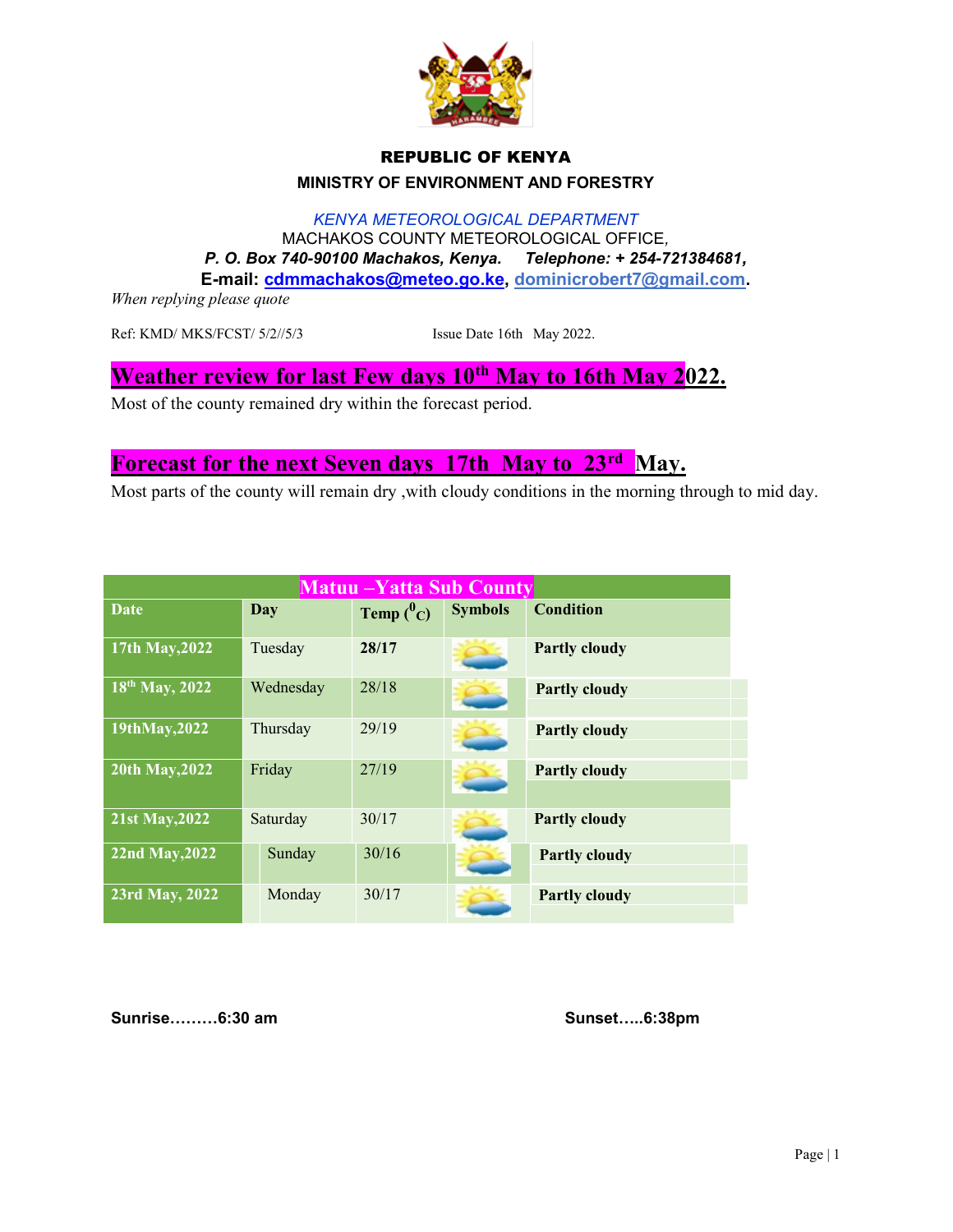

#### REPUBLIC OF KENYA MINISTRY OF ENVIRONMENT AND FORESTRY

KENYA METEOROLOGICAL DEPARTMENT MACHAKOS COUNTY METEOROLOGICAL OFFICE, P. O. Box 740-90100 Machakos, Kenya. Telephone: + 254-721384681, E-mail: cdmmachakos@meteo.go.ke, dominicrobert7@gmail.com.

When replying please quote

Ref: KMD/ MKS/FCST/ 5/2//5/3 Issue Date 16th May 2022.

## Weather review for last Few days 10<sup>th</sup> May to 16th May 2022.

Most of the county remained dry within the forecast period.

## Forecast for the next Seven days 17th May to 23<sup>rd</sup> May.

Most parts of the county will remain dry ,with cloudy conditions in the morning through to mid day.

| <b>Matuu – Yatta Sub County</b> |            |              |                |                      |  |
|---------------------------------|------------|--------------|----------------|----------------------|--|
| <b>Date</b>                     | <b>Day</b> | Temp $(^0C)$ | <b>Symbols</b> | <b>Condition</b>     |  |
| 17th May, 2022                  | Tuesday    | 28/17        |                | <b>Partly cloudy</b> |  |
| 18th May, 2022                  | Wednesday  | 28/18        |                | <b>Partly cloudy</b> |  |
| 19thMay, 2022                   | Thursday   | 29/19        |                | <b>Partly cloudy</b> |  |
| 20th May, 2022                  | Friday     | 27/19        |                | <b>Partly cloudy</b> |  |
| 21st May, 2022                  | Saturday   | 30/17        |                | <b>Partly cloudy</b> |  |
| 22nd May, 2022                  | Sunday     | 30/16        |                | <b>Partly cloudy</b> |  |
| 23rd May, 2022                  | Monday     | 30/17        |                | <b>Partly cloudy</b> |  |

Sunrise………6:30 am Sunset…..6:38pm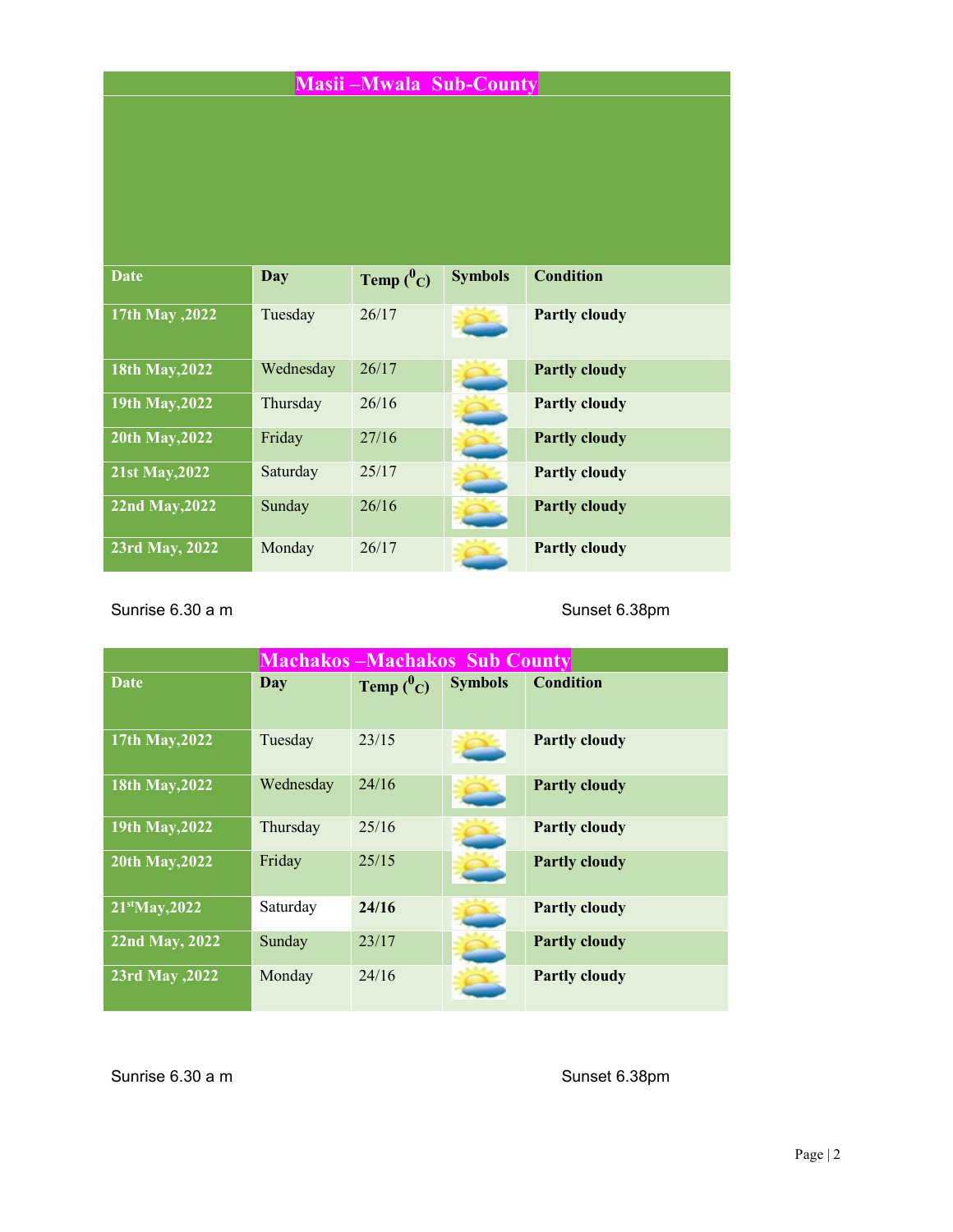# Masii –Mwala Sub-County

| <b>Date</b>     | Day       | Temp $(^0C)$ | <b>Symbols</b> | <b>Condition</b>     |
|-----------------|-----------|--------------|----------------|----------------------|
| 17th May , 2022 | Tuesday   | 26/17        |                | <b>Partly cloudy</b> |
| 18th May, 2022  | Wednesday | 26/17        |                | <b>Partly cloudy</b> |
| 19th May, 2022  | Thursday  | 26/16        |                | <b>Partly cloudy</b> |
| 20th May, 2022  | Friday    | 27/16        |                | <b>Partly cloudy</b> |
| 21st May, 2022  | Saturday  | 25/17        |                | <b>Partly cloudy</b> |
| 22nd May, 2022  | Sunday    | 26/16        |                | <b>Partly cloudy</b> |
| 23rd May, 2022  | Monday    | 26/17        |                | <b>Partly cloudy</b> |

Sunrise 6.30 a m Sunset 6.38pm

| <b>Machakos-Machakos Sub County</b> |           |                     |                |                      |  |
|-------------------------------------|-----------|---------------------|----------------|----------------------|--|
| <b>Date</b>                         | Day       | <b>Temp</b> $(^0C)$ | <b>Symbols</b> | <b>Condition</b>     |  |
| 17th May, 2022                      | Tuesday   | 23/15               |                | <b>Partly cloudy</b> |  |
| 18th May, 2022                      | Wednesday | 24/16               |                | <b>Partly cloudy</b> |  |
| 19th May, 2022                      | Thursday  | 25/16               |                | <b>Partly cloudy</b> |  |
| 20th May, 2022                      | Friday    | 25/15               |                | <b>Partly cloudy</b> |  |
| 21 <sup>st</sup> May, 2022          | Saturday  | 24/16               |                | <b>Partly cloudy</b> |  |
| 22nd May, 2022                      | Sunday    | 23/17               |                | <b>Partly cloudy</b> |  |
| 23rd May , 2022                     | Monday    | 24/16               |                | <b>Partly cloudy</b> |  |

Sunrise 6.30 a m Sunset 6.38pm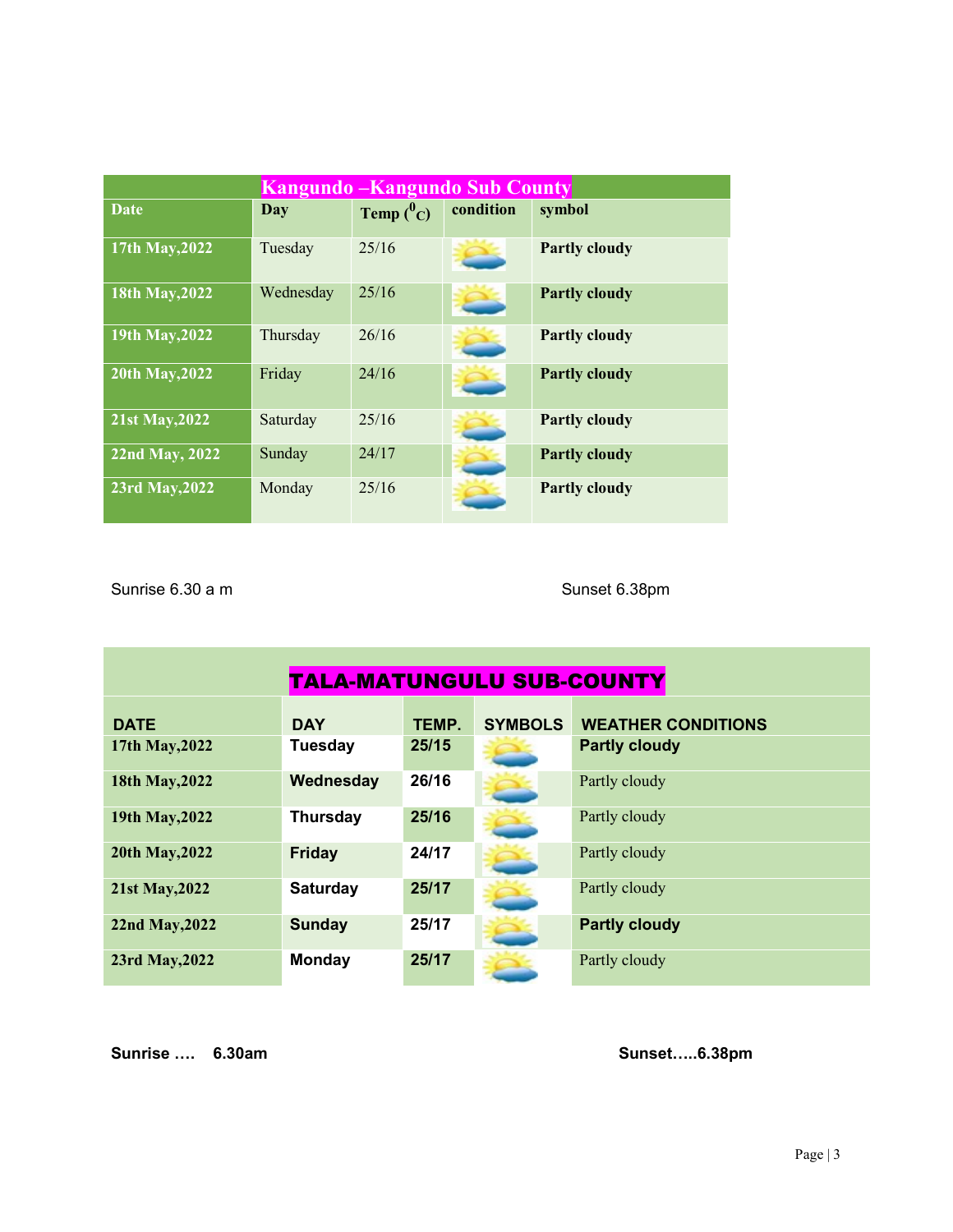| <b>Kangundo – Kangundo Sub County</b> |           |              |           |                      |  |
|---------------------------------------|-----------|--------------|-----------|----------------------|--|
| <b>Date</b>                           | Day       | Temp $(^0C)$ | condition | symbol               |  |
| 17th May, 2022                        | Tuesday   | 25/16        |           | <b>Partly cloudy</b> |  |
| 18th May, 2022                        | Wednesday | 25/16        |           | <b>Partly cloudy</b> |  |
| 19th May, 2022                        | Thursday  | 26/16        |           | <b>Partly cloudy</b> |  |
| 20th May, 2022                        | Friday    | 24/16        |           | <b>Partly cloudy</b> |  |
| 21st May, 2022                        | Saturday  | 25/16        |           | <b>Partly cloudy</b> |  |
| 22nd May, 2022                        | Sunday    | 24/17        |           | <b>Partly cloudy</b> |  |
| 23rd May, 2022                        | Monday    | 25/16        |           | <b>Partly cloudy</b> |  |

Sunrise 6.30 a m Sunset 6.38pm

| TALA-MATUNGULU SUB-COUNTY |                 |       |                |                           |  |  |
|---------------------------|-----------------|-------|----------------|---------------------------|--|--|
| <b>DATE</b>               | <b>DAY</b>      | TEMP. | <b>SYMBOLS</b> | <b>WEATHER CONDITIONS</b> |  |  |
| 17th May, 2022            | <b>Tuesday</b>  | 25/15 |                | <b>Partly cloudy</b>      |  |  |
| 18th May, 2022            | Wednesday       | 26/16 |                | Partly cloudy             |  |  |
| 19th May, 2022            | <b>Thursday</b> | 25/16 |                | Partly cloudy             |  |  |
| 20th May, 2022            | <b>Friday</b>   | 24/17 |                | Partly cloudy             |  |  |
| 21st May, 2022            | <b>Saturday</b> | 25/17 |                | Partly cloudy             |  |  |
| 22nd May, 2022            | <b>Sunday</b>   | 25/17 |                | <b>Partly cloudy</b>      |  |  |
| 23rd May, 2022            | <b>Monday</b>   | 25/17 |                | Partly cloudy             |  |  |

Sunrise …. 6.30am Sunset…..6.38pm